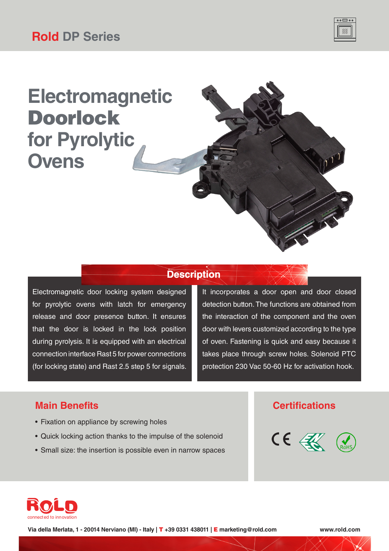

# **Electromagnetic** Doorlock **for Pyrolytic Ovens**

### **Description**

Electromagnetic door locking system designed for pyrolytic ovens with latch for emergency release and door presence button. It ensures that the door is locked in the lock position during pyrolysis. It is equipped with an electrical connection interface Rast 5 for power connections (for locking state) and Rast 2.5 step 5 for signals. It incorporates a door open and door closed detection button. The functions are obtained from the interaction of the component and the oven door with levers customized according to the type of oven. Fastening is quick and easy because it takes place through screw holes. Solenoid PTC protection 230 Vac 50-60 Hz for activation hook.

### **Main Benefits Certifications**

- Fixation on appliance by screwing holes
- Quick locking action thanks to the impulse of the solenoid
- Small size: the insertion is possible even in narrow spaces





**Via della Merlata, 1 - 20014 Nerviano (MI) - Italy |** T **+39 0331 438011 |** E **marketing@rold.com www.rold.com**